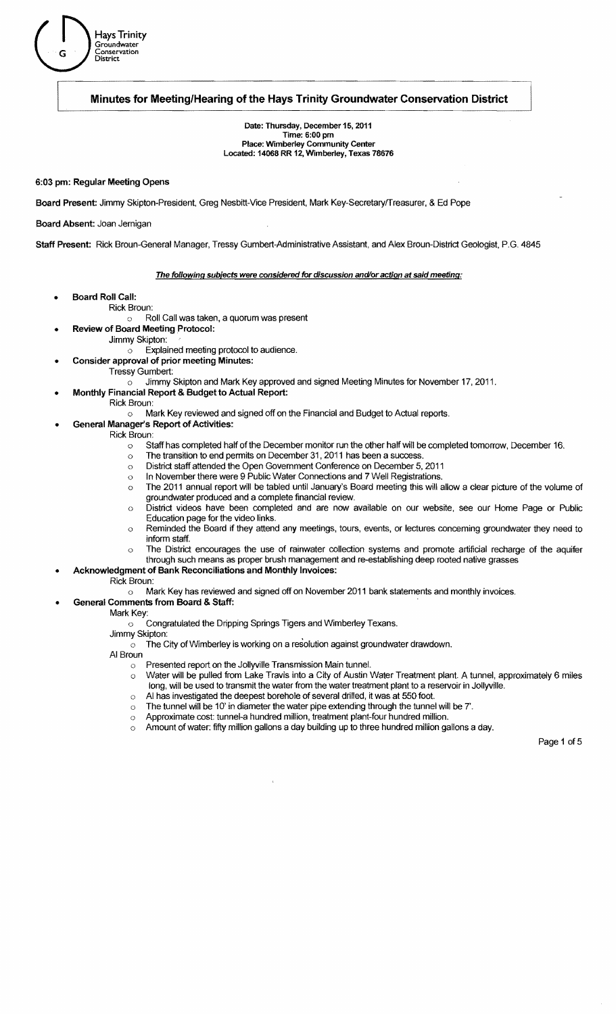

# Minutes for Meeting/Hearing of the Hays Trinity Groundwater Conservation District

Date: Thursday, December 15,2011 Time: 6:00 pm Place: Wimberley Community Center Located: 14068 RR 12, Wimberley, Texas 78676

# 6:03 pm: Regular Meeting Opens

Board Present: Jimmy Skipton-President, Greg Nesbitt-Vice President, Mark Key-SecretaryfTreasurer, & Ed Pope

# Board Absent: Joan Jernigan

Staff Present: Rick Broun-General Manager, Tressy Gumbert-Administrative Assistant, and Alex Broun-District Geologist, P.G. 4845

# The following subjects were considered for discussion and/or action at said meeting:

Board Roll Call: Rick Broun:

o Roll Call was taken, a quorum was present

- Review of Board Meeting Protocol:
	- Jimmy Skipton:

*a* Explained meeting protocol to audience.

- Consider approval of prior meeting Minutes:
- Tressy Gumbert:
	- o Jimmy Skipton and Mark Key approved and signed Meeting Minutes for November 17, 2011.
- Monthly Financial Report & Budget to Actual Report:
	- Rick Broun:
		- *a* Mark Key reviewed and signed off on the Financial and Budget to Actual reports.
- General Manager's Report of Activities: Rick Broun:
	- $\circ$  Staff has completed half of the December monitor run the other half will be completed tomorrow, December 16.
	- *a* The transition to end permits on December 31,2011 has been a success.
	- o District staff attended the Open Government Conference on December 5, 2011
	- o In November there were 9 Public Water Connections and 7 Well Registrations.
	- o The 2011 annual report will be tabled until January's Board meeting this will allow a clear picture of the volume of groundwater produced and a complete financial review.
	- o District videos have been completed and are now available on our website, see our Home Page or Public Education page for the video links.
	- a Reminded the Board if they attend any meetings, tours, events, or lectures conceming groundwater they need to inform staff.
	- o The District encourages the use of rainwater collection systems and promote artificial recharge of the aquifer through such means as proper brush management and re-establishing deep rooted native grasses
	- Acknowledgment of Bank Reconciliations and Monthly Invoices:

# Rick Broun:

- $\circ$  Mark Key has reviewed and signed off on November 2011 bank statements and monthly invoices.
- General Comments from Board & Staff:
	- Mark Key:
		- **Congratulated the Dripping Springs Tigers and Wimberley Texans.**

Jimmy Skipton:

- $\sigma$  The City of Wimberley is working on a resolution against groundwater drawdown.
- AI Broun
	- o Presented report on the Jollyville Transmission Main tunnel.
	- $\circ$  Water will be pulled from Lake Travis into a City of Austin Water Treatment plant. A tunnel, approximately 6 miles long, will be used to transmit the water from the water treatment plant to a reservoir in Jollyville.
	- $\circ$  AI has investigated the deepest borehole of several drilled, it was at 550 foot.
	- $\circ$  The tunnel will be 10' in diameter the water pipe extending through the tunnel will be 7'.
	- o Approximate cost: tunnel-a hundred million, treatment plant-four hundred million.
	- o Amount of water: fifty million gallons a day building up to three hundred million gallons a day.

Page 1 of 5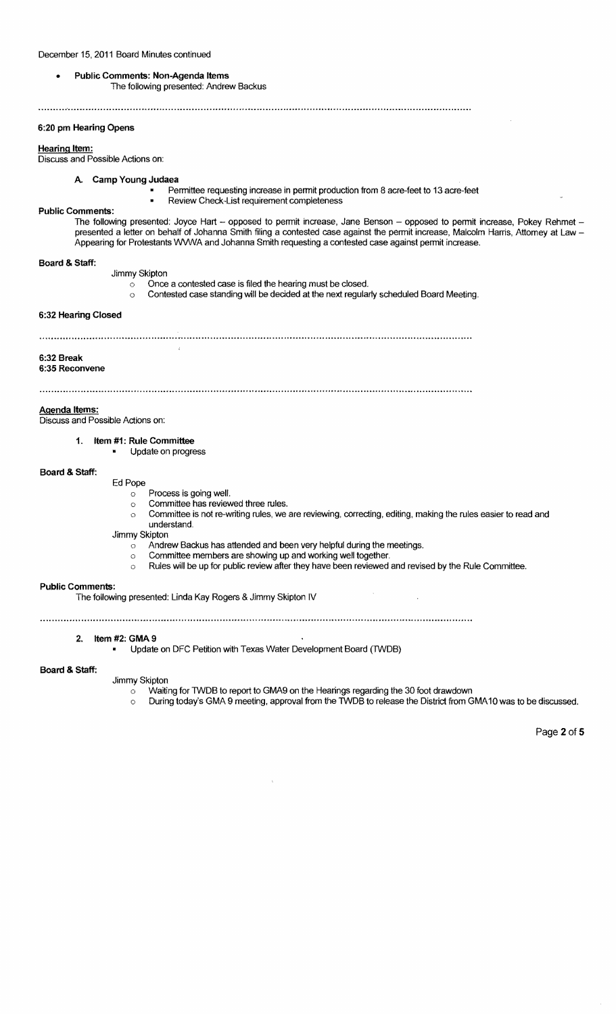December 15, 2011 Board Minutes continued

Public Comments: Non-Agenda Items The following presented: Andrew Backus

# 

## 6:20 pm Hearing Opens

#### Hearing Item:

Discuss and Possible Actions on:

#### A. Camp Young Judaea

- Permittee requesting increase in permit production from 8 acre-feet to 13 acre-feet
	- Review Check-List requirement completeness

#### Public Comments:

The following presented: Joyce Hart – opposed to permit increase, Jane Benson – opposed to permit increase, Pokey Rehmet presented a letter on behalf of Johanna Smith filing a contested case against the permit increase, Malcolm Harris, Attomey at Law Appearing for Protestants WWWA and Johanna Smith requesting a contested case against permit increase.

#### Board & Staff:

- Jimmy Skipton
	- $\circ$  Once a contested case is filed the hearing must be closed.
	- o Contested case standing will be decided at the next regularly scheduled Board Meeting.

#### 6:32 Hearing Closed

6:32 Break

## 6:35 Reconvene

# Agenda Items:

Discuss and Possible Actions on:

- 1. Item #1: Rule Committee
	- Update on progress

### Board & Staff:

- Ed Pope o Process is going well.
	- o Committee has reviewed three rules.
	- $\circ$  Committee is not re-writing rules, we are reviewing, correcting, editing, making the rules easier to read and understand.

Jimmy Skipton

- o Andrew Backus has attended and been very helpful during the meetings.
- o Committee members are showing up and working well together.
- o Rules will be up for public review after they have been reviewed and revised by the Rule Committee.

### Public Comments:

The following presented: Linda Kay Rogers & Jimmy Skipton IV

### 2. Item #2: GMA 9

• Update on DFC Petition with Texas Water Development Board (fWDB)

Board & Staff:

Jimmy Skipton

- $\circ$  Waiting for TWDB to report to GMA9 on the Hearings regarding the 30 foot drawdown
- o During today's GMA 9 meeting, approval from the TWDB to release the District from GMA10 was to be discussed.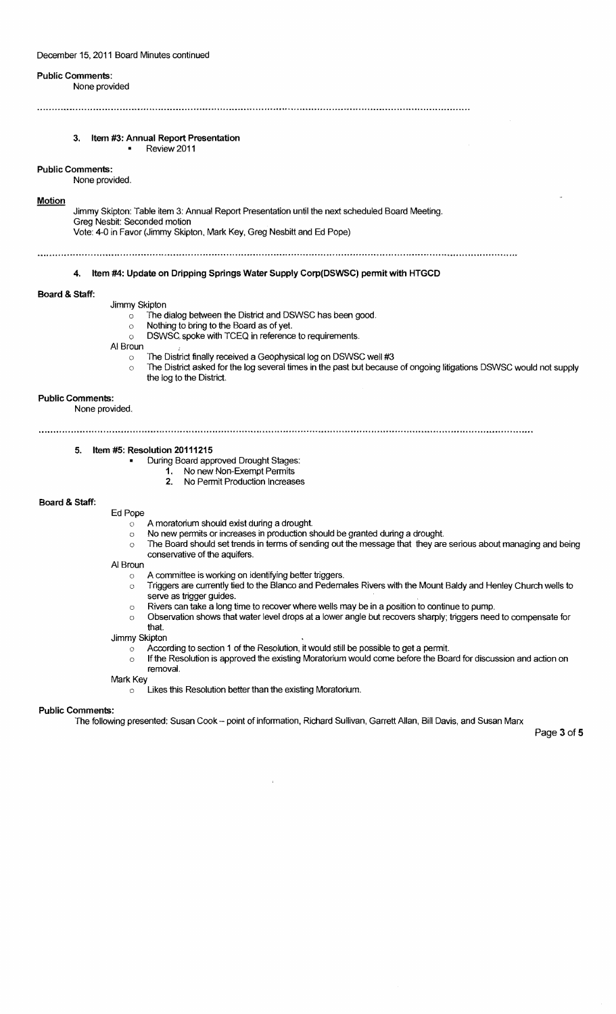#### Public Comments:

None provided

3. Item #3: Annual Report Presentation Review 2011

Public Comments:

None provided.

### **Motion**

Jimmy Skipton: Table item 3: Annual Report Presentation until the next scheduled Board Meeting. Greg Nesbit: Seconded motion

Vote: 4-0 in Favor (Jimmy Skipton, Mark Key, Greg Nesbitt and Ed Pope)

#### 4. Item #4: Update on Dripping Springs Water Supply Corp(DSWSC) permit with HTGCD

#### Board & Staff:

- Jimmy Skipton  $\circ$  The dialog between the District and DSWSC has been good.
	- o Nothing to bring to the Board as of yet.
	- o DSWSC, spoke with TCEQ in reference to requirements.
- AI Broun ;
	- $\overline{\circ}$  The District finally received a Geophysical log on DSWSC well #3
	- o The District asked for the log several times in the past but because of ongoing litigations DSWSC would not supply the log to the District.

### Public Comments:

None provided.

### 5. Item #5: Resolution 20111215

- During Board approved Drought Stages:
	- 1. No new Non-Exempt Permits
	- 2. No Permit Production Increases

### Board & Staff:

- Ed Pope
	- $\circ$  A moratorium should exist during a drought.
	- o No new permits or increases in production should be granted during a drought.
	- $\circ$  The Board should set trends in terms of sending out the message that they are serious about managing and being conservative of the aquifers.

### AI Broun

- $\circ$  A committee is working on identifying better triggers.
- $\circ$  Triggers are currently tied to the Blanco and Pedernales Rivers with the Mount Baldy and Henley Church wells to serve as trigger guides.
- $\circ$  Rivers can take a long time to recover where wells may be in a position to continue to pump.
- o Observation shows that water level drops at a lower angle but recovers sharply; triggers need to compensate for that.

Jimmy Skipton

- $\circ$  According to section 1 of the Resolution, it would still be possible to get a permit.
- $\circ$  If the Resolution is approved the existing Moratorium would come before the Board for discussion and action on removal.
- Mark Key
	- o Likes this Resolution better than the existing Moratorium.

# Public Comments:

The following presented: Susan Cook - point of information, Richard Sullivan, Garrett Allan, Bill Davis, and Susan Marx

Page 3 of 5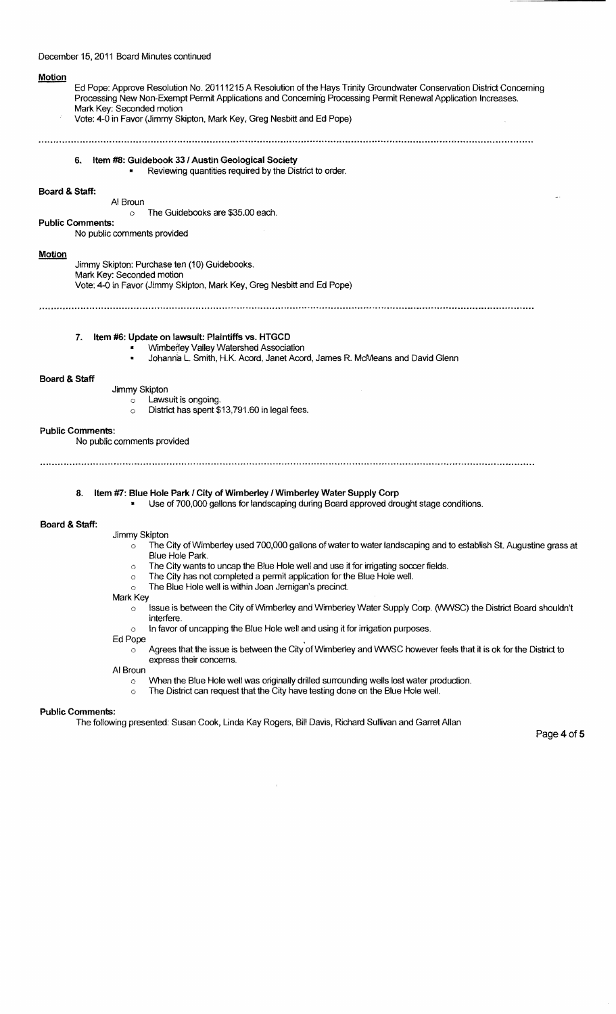December 15, 2011 Board Minutes continued Motion Ed Pope: Approve Resolution No. 20111215 A Resolution of the Hays Trinity Groundwater Conservation District Concerning Processing New Non-Exempt Permit Applications and Concerning Processing Permit Renewal Application Increases. Mark Key: Seconded motion Vote: 4-0 in Favor (Jimmy Skipton, Mark Key, Greg Nesbitt and Ed Pope) 6. Item #8: Guidebook 331 Austin Geological Society • Reviewing quantities required by the District to order. Board &Staff: AI Broun o The Guidebooks are \$35.00 each. Public Comments: No public comments provided Motion Jimmy Skipton: Purchase ten (10) Guidebooks. Mark Key: Seconded motion Vote: 4-0 in Favor (Jimmy Skipton, Mark Key, Greg Nesbitt and Ed Pope) 7. Item #6: Update on lawsuit: Plaintiffs vs. HTGCD • Wimberley Valley Watershed Association<br>• Iohanna J. Smith H.K. Acerd Japat Acer Johanna L. Smith, H.K. Acord, Janet Acord, James R. McMeans and David Glenn Board & Staff Jimmy Skipton o Lawsuit is ongoing. o District has spent \$13,791.60 in legal fees. Public Comments: No public comments provided 8. Item #7: Blue Hole Park / City of Wimberley / Wimberley Water Supply Corp Use of 700,000 gallons for landscaping during Board approved drought stage conditions. Board & Staff: Jimmy Skipton  $\circ$  The City of Wimberley used 700,000 gallons of water to water landscaping and to establish St. Augustine grass at Blue Hole Park. o The City wants to uncap the Blue Hole well and use it for irrigating soccer fields. o The City has not completed a permit application for the Blue Hole well. o The Blue Hole well is within Joan Jernigan's precinct. Mark Key o Issue is between the City of Wimberley and Wimberley Water Supply Corp. (WWSC) the District Board shouldn't interfere. o In favor of uncapping the Blue Hole well and using it for irrigation purposes. Ed Pope  $\circ$  Agrees that the issue is between the City of Wimberley and WWSC however feels that it is ok for the District to express their concerns. AI Broun

- o When the Blue Hole well was originally drilled surrounding wells lost water production.
- o The District can request that the City have testing done on the Blue Hole well.

Public Comments:

The following presented: Susan Cook, Linda Kay Rogers, Bill Davis, Richard Sullivan and Garret Allan

Page 4 of 5